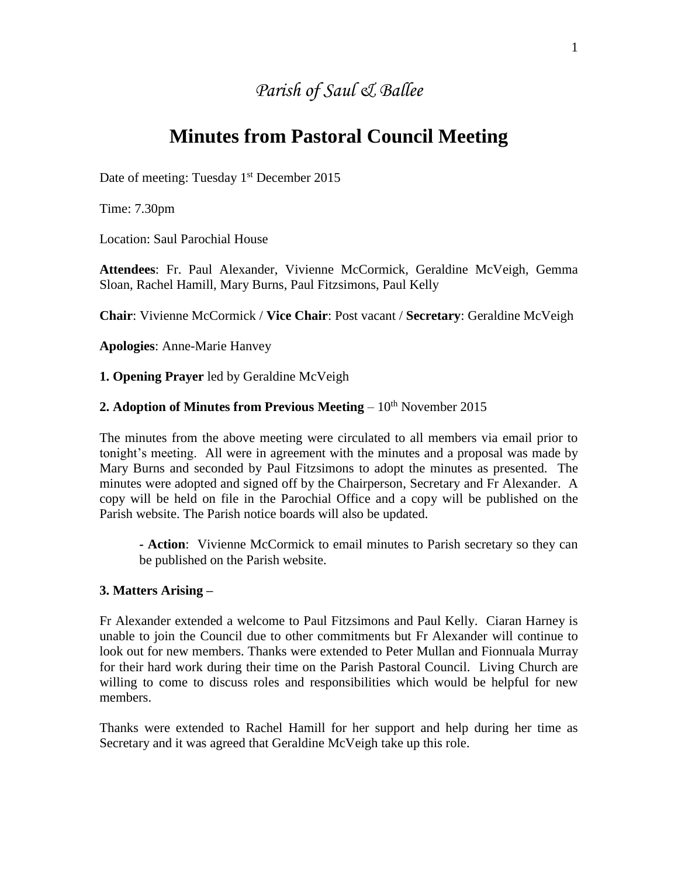# *Parish of Saul & Ballee*

# **Minutes from Pastoral Council Meeting**

Date of meeting: Tuesday  $1<sup>st</sup>$  December 2015

Time: 7.30pm

Location: Saul Parochial House

**Attendees**: Fr. Paul Alexander, Vivienne McCormick, Geraldine McVeigh, Gemma Sloan, Rachel Hamill, Mary Burns, Paul Fitzsimons, Paul Kelly

**Chair**: Vivienne McCormick / **Vice Chair**: Post vacant / **Secretary**: Geraldine McVeigh

**Apologies**: Anne-Marie Hanvey

**1. Opening Prayer** led by Geraldine McVeigh

### **2. Adoption of Minutes from Previous Meeting**  $-10<sup>th</sup>$  November 2015

The minutes from the above meeting were circulated to all members via email prior to tonight's meeting. All were in agreement with the minutes and a proposal was made by Mary Burns and seconded by Paul Fitzsimons to adopt the minutes as presented. The minutes were adopted and signed off by the Chairperson, Secretary and Fr Alexander. A copy will be held on file in the Parochial Office and a copy will be published on the Parish website. The Parish notice boards will also be updated.

**- Action**: Vivienne McCormick to email minutes to Parish secretary so they can be published on the Parish website.

#### **3. Matters Arising –**

Fr Alexander extended a welcome to Paul Fitzsimons and Paul Kelly. Ciaran Harney is unable to join the Council due to other commitments but Fr Alexander will continue to look out for new members. Thanks were extended to Peter Mullan and Fionnuala Murray for their hard work during their time on the Parish Pastoral Council. Living Church are willing to come to discuss roles and responsibilities which would be helpful for new members.

Thanks were extended to Rachel Hamill for her support and help during her time as Secretary and it was agreed that Geraldine McVeigh take up this role.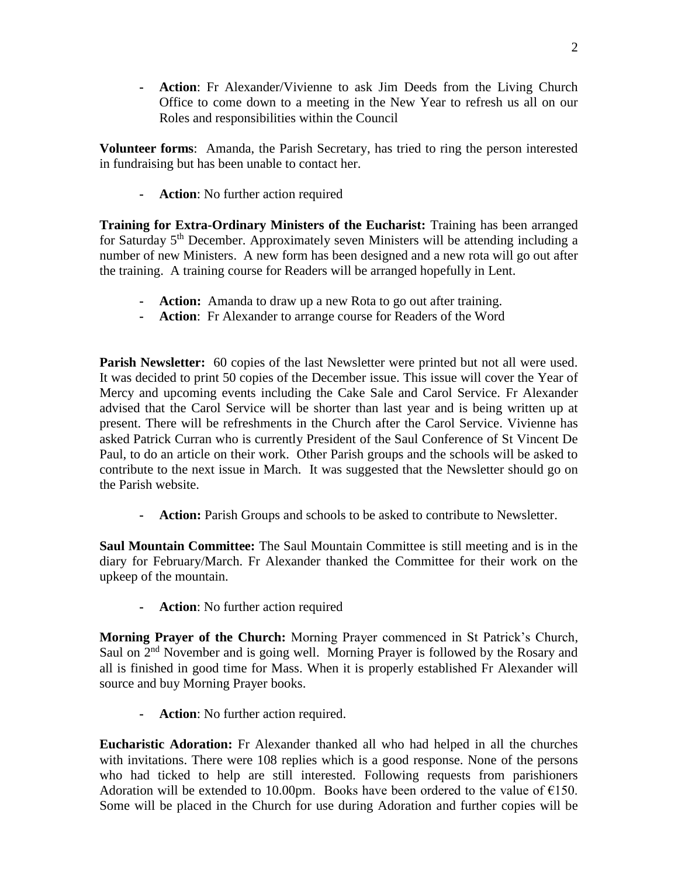**- Action**: Fr Alexander/Vivienne to ask Jim Deeds from the Living Church Office to come down to a meeting in the New Year to refresh us all on our Roles and responsibilities within the Council

**Volunteer forms**: Amanda, the Parish Secretary, has tried to ring the person interested in fundraising but has been unable to contact her.

**- Action**: No further action required

**Training for Extra-Ordinary Ministers of the Eucharist:** Training has been arranged for Saturday 5<sup>th</sup> December. Approximately seven Ministers will be attending including a number of new Ministers. A new form has been designed and a new rota will go out after the training. A training course for Readers will be arranged hopefully in Lent.

- **- Action:** Amanda to draw up a new Rota to go out after training.
- **- Action**: Fr Alexander to arrange course for Readers of the Word

**Parish Newsletter:** 60 copies of the last Newsletter were printed but not all were used. It was decided to print 50 copies of the December issue. This issue will cover the Year of Mercy and upcoming events including the Cake Sale and Carol Service. Fr Alexander advised that the Carol Service will be shorter than last year and is being written up at present. There will be refreshments in the Church after the Carol Service. Vivienne has asked Patrick Curran who is currently President of the Saul Conference of St Vincent De Paul, to do an article on their work. Other Parish groups and the schools will be asked to contribute to the next issue in March. It was suggested that the Newsletter should go on the Parish website.

**- Action:** Parish Groups and schools to be asked to contribute to Newsletter.

**Saul Mountain Committee:** The Saul Mountain Committee is still meeting and is in the diary for February/March. Fr Alexander thanked the Committee for their work on the upkeep of the mountain.

**- Action**: No further action required

**Morning Prayer of the Church:** Morning Prayer commenced in St Patrick's Church, Saul on  $2<sup>nd</sup>$  November and is going well. Morning Prayer is followed by the Rosary and all is finished in good time for Mass. When it is properly established Fr Alexander will source and buy Morning Prayer books.

**- Action**: No further action required.

**Eucharistic Adoration:** Fr Alexander thanked all who had helped in all the churches with invitations. There were 108 replies which is a good response. None of the persons who had ticked to help are still interested. Following requests from parishioners Adoration will be extended to 10.00pm. Books have been ordered to the value of  $E$ 150. Some will be placed in the Church for use during Adoration and further copies will be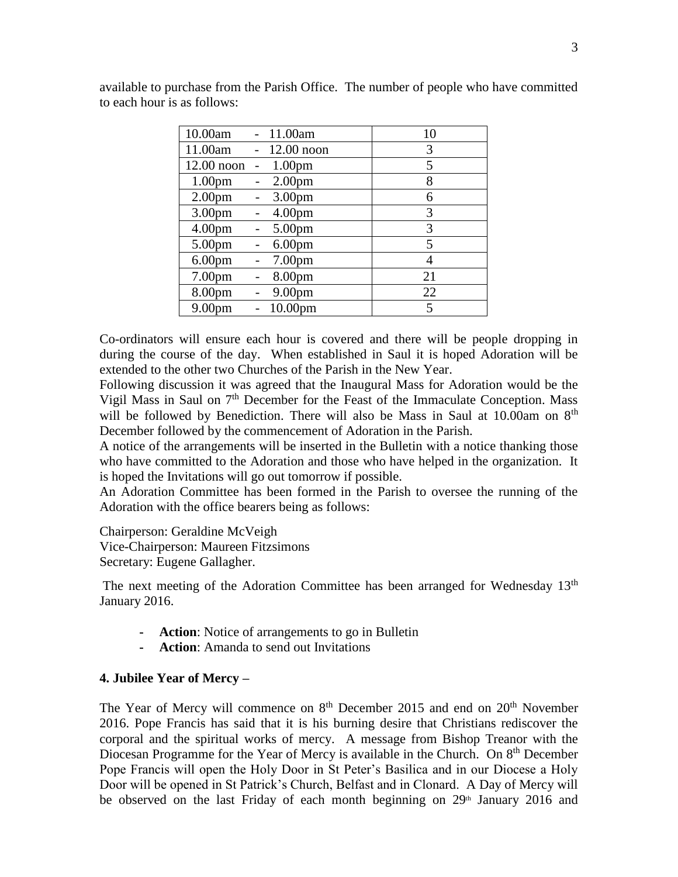| 10.00am            | 11.00am             | 10 |
|--------------------|---------------------|----|
| 11.00am            | $12.00$ noon        | 3  |
| $12.00$ noon       | 1.00 <sub>pm</sub>  | 5  |
| 1.00 <sub>pm</sub> | 2.00 <sub>pm</sub>  | 8  |
| 2.00 <sub>pm</sub> | 3.00pm              | 6  |
| 3.00 <sub>pm</sub> | 4.00 <sub>pm</sub>  | 3  |
| 4.00 <sub>pm</sub> | 5.00pm              | 3  |
| 5.00pm             | 6.00 <sub>pm</sub>  | 5  |
| 6.00 <sub>pm</sub> | 7.00pm              | 4  |
| 7.00 <sub>pm</sub> | 8.00pm              | 21 |
| 8.00pm             | 9.00pm              | 22 |
| 9.00 <sub>pm</sub> | 10.00 <sub>pm</sub> | 5  |

available to purchase from the Parish Office. The number of people who have committed to each hour is as follows:

Co-ordinators will ensure each hour is covered and there will be people dropping in during the course of the day. When established in Saul it is hoped Adoration will be extended to the other two Churches of the Parish in the New Year.

Following discussion it was agreed that the Inaugural Mass for Adoration would be the Vigil Mass in Saul on 7<sup>th</sup> December for the Feast of the Immaculate Conception. Mass will be followed by Benediction. There will also be Mass in Saul at 10.00am on 8<sup>th</sup> December followed by the commencement of Adoration in the Parish.

A notice of the arrangements will be inserted in the Bulletin with a notice thanking those who have committed to the Adoration and those who have helped in the organization. It is hoped the Invitations will go out tomorrow if possible.

An Adoration Committee has been formed in the Parish to oversee the running of the Adoration with the office bearers being as follows:

Chairperson: Geraldine McVeigh

Vice-Chairperson: Maureen Fitzsimons

Secretary: Eugene Gallagher.

The next meeting of the Adoration Committee has been arranged for Wednesday 13<sup>th</sup> January 2016.

- **- Action**: Notice of arrangements to go in Bulletin
- **- Action**: Amanda to send out Invitations

#### **4. Jubilee Year of Mercy –**

The Year of Mercy will commence on  $8<sup>th</sup>$  December 2015 and end on  $20<sup>th</sup>$  November 2016. Pope Francis has said that it is his burning desire that Christians rediscover the corporal and the spiritual works of mercy. A message from Bishop Treanor with the Diocesan Programme for the Year of Mercy is available in the Church. On 8<sup>th</sup> December Pope Francis will open the Holy Door in St Peter's Basilica and in our Diocese a Holy Door will be opened in St Patrick's Church, Belfast and in Clonard. A Day of Mercy will be observed on the last Friday of each month beginning on  $29<sup>th</sup>$  January 2016 and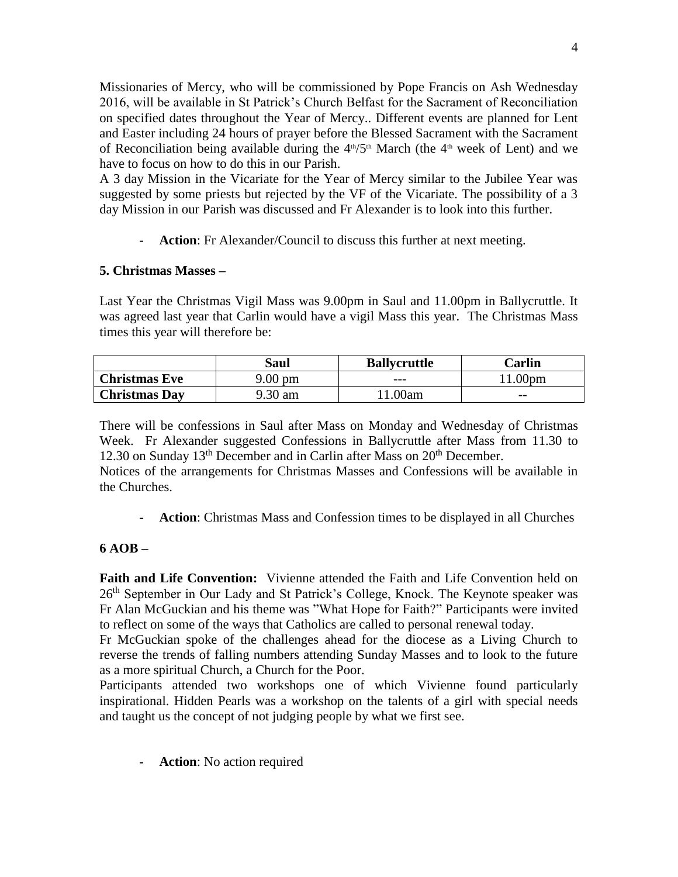Missionaries of Mercy, who will be commissioned by Pope Francis on Ash Wednesday 2016, will be available in St Patrick's Church Belfast for the Sacrament of Reconciliation on specified dates throughout the Year of Mercy.. Different events are planned for Lent and Easter including 24 hours of prayer before the Blessed Sacrament with the Sacrament of Reconciliation being available during the  $4<sup>th</sup>/5<sup>th</sup>$  March (the  $4<sup>th</sup>$  week of Lent) and we have to focus on how to do this in our Parish.

A 3 day Mission in the Vicariate for the Year of Mercy similar to the Jubilee Year was suggested by some priests but rejected by the VF of the Vicariate. The possibility of a 3 day Mission in our Parish was discussed and Fr Alexander is to look into this further.

**- Action**: Fr Alexander/Council to discuss this further at next meeting.

## **5. Christmas Masses –**

Last Year the Christmas Vigil Mass was 9.00pm in Saul and 11.00pm in Ballycruttle. It was agreed last year that Carlin would have a vigil Mass this year. The Christmas Mass times this year will therefore be:

|                      | Saul    | <b>Ballycruttle</b> | Carlin            |
|----------------------|---------|---------------------|-------------------|
| <b>Christmas Eve</b> | 9.00 pm | $---$               | .00 <sub>pm</sub> |
| <b>Christmas Day</b> | 9.30 am | .00am               | $- -$             |

There will be confessions in Saul after Mass on Monday and Wednesday of Christmas Week. Fr Alexander suggested Confessions in Ballycruttle after Mass from 11.30 to 12.30 on Sunday  $13<sup>th</sup>$  December and in Carlin after Mass on  $20<sup>th</sup>$  December.

Notices of the arrangements for Christmas Masses and Confessions will be available in the Churches.

**- Action**: Christmas Mass and Confession times to be displayed in all Churches

# **6 AOB –**

**Faith and Life Convention:** Vivienne attended the Faith and Life Convention held on 26<sup>th</sup> September in Our Lady and St Patrick's College, Knock. The Keynote speaker was Fr Alan McGuckian and his theme was "What Hope for Faith?" Participants were invited to reflect on some of the ways that Catholics are called to personal renewal today.

Fr McGuckian spoke of the challenges ahead for the diocese as a Living Church to reverse the trends of falling numbers attending Sunday Masses and to look to the future as a more spiritual Church, a Church for the Poor.

Participants attended two workshops one of which Vivienne found particularly inspirational. Hidden Pearls was a workshop on the talents of a girl with special needs and taught us the concept of not judging people by what we first see.

**- Action**: No action required